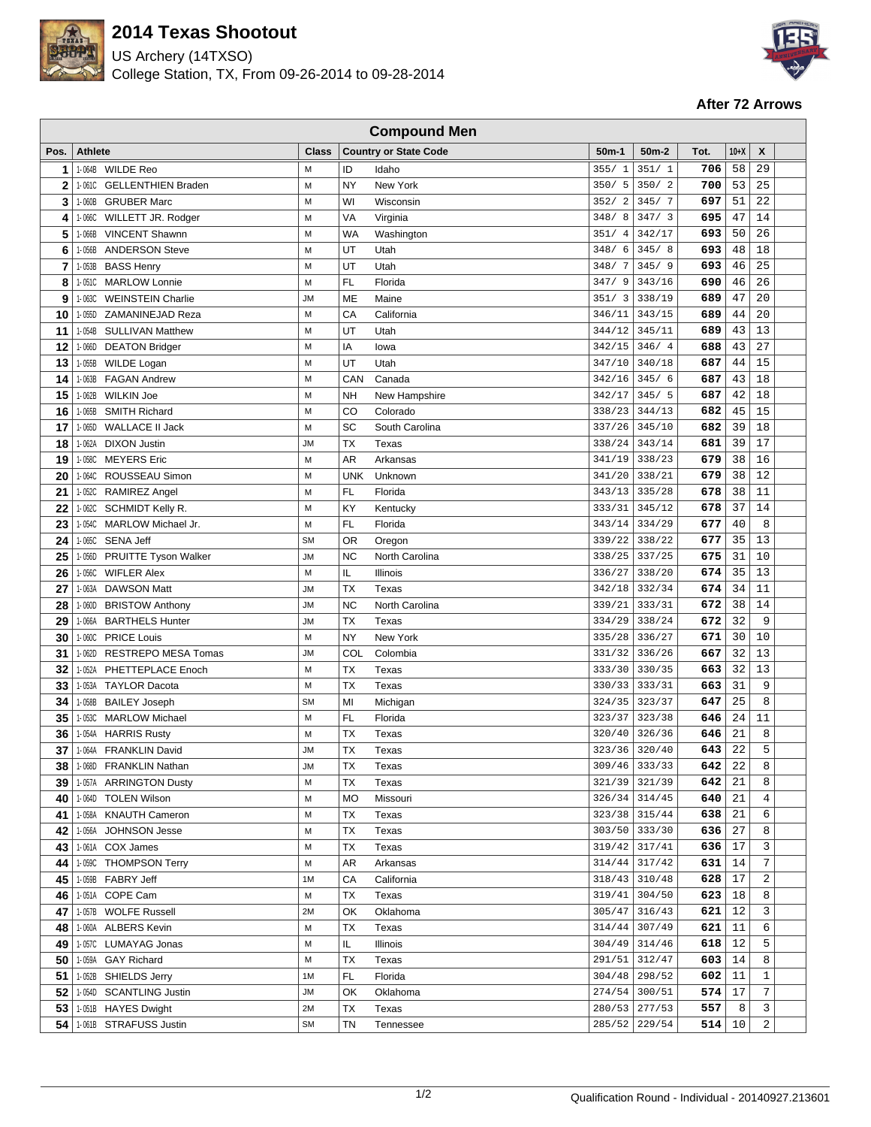

## **2014 Texas Shootout**

US Archery (14TXSO) College Station, TX, From 09-26-2014 to 09-28-2014



## **After 72 Arrows**

| <b>Compound Men</b> |                                       |              |            |                              |           |                    |      |                 |       |  |
|---------------------|---------------------------------------|--------------|------------|------------------------------|-----------|--------------------|------|-----------------|-------|--|
| Pos.                | <b>Athlete</b>                        | <b>Class</b> |            | <b>Country or State Code</b> | $50m-1$   | 50 <sub>m</sub> -2 | Tot. | $10+X$          | X     |  |
| 1                   | 1-064B WILDE Reo                      | M            | ID         | Idaho                        | 355/1     | 351/1              | 706  | 58              | 29    |  |
| $\overline{2}$      | 1-061C GELLENTHIEN Braden             | M            | NY         | New York                     | 350/5     | 350/2              | 700  | 53              | 25    |  |
| 3                   | 1-060B<br><b>GRUBER Marc</b>          | M            | WI         | Wisconsin                    | 352/2     | 345/7              | 697  | 51              | 22    |  |
| 4                   | $1 - 066C$<br>WILLETT JR. Rodger      | M            | VA         | Virginia                     | 348/8     | 347/3              | 695  | 47              | 14    |  |
| 5                   | <b>VINCENT Shawnn</b><br>1-066B       | M            | <b>WA</b>  | Washington                   | 351/4     | 342/17             | 693  | 50              | 26    |  |
| 6                   | <b>ANDERSON Steve</b><br>1-056B       | M            | UT         | Utah                         | 348/<br>6 | 345/8              | 693  | 48              | 18    |  |
| 7                   | 1-053B<br><b>BASS Henry</b>           | M            | UT         | Utah                         | 348/7     | 345/9              | 693  | 46              | 25    |  |
| 8                   | <b>MARLOW Lonnie</b><br>1-051C        | M            | FL.        | Florida                      | 347/9     | 343/16             | 690  | 46              | 26    |  |
| 9                   | 1-063C<br><b>WEINSTEIN Charlie</b>    | <b>JM</b>    | ME         | Maine                        | 351/3     | 338/19             | 689  | 47              | 20    |  |
| 10                  | 1-055D<br>ZAMANINEJAD Reza            | M            | CA         | California                   | 346/11    | 343/15             | 689  | 44              | 20    |  |
| 11                  | 1-054B<br><b>SULLIVAN Matthew</b>     | M            | UT         | Utah                         | 344/12    | 345/11             | 689  | 43              | 13    |  |
| 12                  | 1-066D DEATON Bridger                 | M            | ΙA         | lowa                         | 342/15    | 346/4              | 688  | 43              | 27    |  |
| 13                  | 1-055B<br>WILDE Logan                 | M            | UT         | Utah                         | 347/10    | 340/18             | 687  | 44              | 15    |  |
| 14                  | <b>FAGAN Andrew</b><br>1-063B         | M            | CAN        | Canada                       | 342/16    | 345/6              | 687  | 43              | 18    |  |
| 15                  | <b>WILKIN Joe</b><br>1-062B           | M            | <b>NH</b>  | New Hampshire                | 342/17    | 345/5              | 687  | 42              | 18    |  |
| 16                  | <b>SMITH Richard</b><br>1-065B        | M            | CO         | Colorado                     | 338/23    | 344/13             | 682  | 45              | 15    |  |
| 17                  | <b>WALLACE II Jack</b><br>1-065D      | M            | SC         | South Carolina               | 337/26    | 345/10             | 682  | 39              | 18    |  |
| 18                  | <b>DIXON Justin</b><br>1-062A         | <b>JM</b>    | <b>TX</b>  | Texas                        | 338/24    | 343/14             | 681  | 39              | 17    |  |
| 19                  | <b>MEYERS</b> Eric<br>1-058C          | M            | <b>AR</b>  | Arkansas                     | 341/19    | 338/23             | 679  | 38              | 16    |  |
| 20                  | 1-064C ROUSSEAU Simon                 | M            | <b>UNK</b> | Unknown                      | 341/20    | 338/21             | 679  | 38              | 12    |  |
| 21                  | 1-052C RAMIREZ Angel                  | M            | FL.        | Florida                      | 343/13    | 335/28             | 678  | 38              | 11    |  |
| 22                  | SCHMIDT Kelly R.<br>1-062C            | M            | KY         | Kentucky                     | 333/31    | 345/12             | 678  | 37              | 14    |  |
| 23                  | 1-054C<br><b>MARLOW Michael Jr.</b>   | M            | FL         | Florida                      | 343/14    | 334/29             | 677  | 40              | 8     |  |
| 24                  | 1-065C<br><b>SENA Jeff</b>            | <b>SM</b>    | <b>OR</b>  | Oregon                       | 339/22    | 338/22             | 677  | 35              | 13    |  |
| 25                  | 1-056D<br><b>PRUITTE Tyson Walker</b> | JМ           | <b>NC</b>  | North Carolina               | 338/25    | 337/25             | 675  | 31              | 10    |  |
| 26                  | $1 - 056C$<br><b>WIFLER Alex</b>      | M            | IL         | Illinois                     | 336/27    | 338/20             | 674  | 35              | 13    |  |
| 27                  | <b>DAWSON Matt</b><br>1-063A          | JМ           | <b>TX</b>  | Texas                        | 342/18    | 332/34             | 674  | 34              | 11    |  |
| 28                  | 1-060D<br><b>BRISTOW Anthony</b>      | JM           | <b>NC</b>  | North Carolina               | 339/21    | 333/31             | 672  | 38              | 14    |  |
| 29                  | 1-066A<br><b>BARTHELS Hunter</b>      | JМ           | TX         | Texas                        | 334/29    | 338/24             | 672  | 32              | 9     |  |
| 30                  | $1 - 060C$<br><b>PRICE Louis</b>      | M            | <b>NY</b>  | New York                     | 335/28    | 336/27             | 671  | 30              | 10    |  |
| 31                  | 1-062D<br><b>RESTREPO MESA Tomas</b>  | JМ           | COL        | Colombia                     | 331/32    | 336/26             | 667  | 32              | 13    |  |
| 32                  | 1-052A<br>PHETTEPLACE Enoch           | M            | <b>TX</b>  | Texas                        | 333/30    | 330/35             | 663  | 32              | 13    |  |
| 33                  | 1-053A<br><b>TAYLOR Dacota</b>        | M            | <b>TX</b>  | Texas                        | 330/33    | 333/31             | 663  | 31              | 9     |  |
| 34                  | 1-058B<br><b>BAILEY Joseph</b>        | <b>SM</b>    | MI         | Michigan                     | 324/35    | 323/37             | 647  | 25              | 8     |  |
| 35                  | 1-053C<br><b>MARLOW Michael</b>       | M            | FL.        | Florida                      | 323/37    | 323/38             | 646  | 24              | 11    |  |
| 36                  | <b>HARRIS Rusty</b><br>1-054A         | M            | <b>TX</b>  | Texas                        | 320/40    | 326/36             | 646  | 21              | 8     |  |
| 37                  | 1-064A FRANKLIN David                 | <b>JM</b>    | ТX         | Texas                        | 323/36    | 320/40             | 643  | 22              | 5     |  |
|                     | 38 1-068D FRANKLIN Nathan             | <b>JM</b>    | <b>TX</b>  | Texas                        |           | $309/46$ 333/33    | 642  | $\overline{22}$ | 8     |  |
| 39                  | 1-057A ARRINGTON Dusty                | M            | ТX         | Texas                        | 321/39    | 321/39             | 642  | 21              | 8     |  |
| 40                  | 1-064D<br><b>TOLEN Wilson</b>         | M            | MO         | Missouri                     | 326/34    | 314/45             | 640  | 21              | 4     |  |
| 41                  | 1-058A<br><b>KNAUTH Cameron</b>       | M            | TX         | Texas                        |           | 323/38 315/44      | 638  | 21              | 6     |  |
| 42                  | JOHNSON Jesse<br>1-056A               | М            | TX         | Texas                        | 303/50    | 333/30             | 636  | 27              | 8     |  |
| 43                  | 1-061A COX James                      | М            | TX         | Texas                        | 319/42    | 317/41             | 636  | 17              | 3     |  |
| 44                  | 1-059C<br><b>THOMPSON Terry</b>       | М            | AR         | Arkansas                     | 314/44    | 317/42             | 631  | 14              | 7     |  |
| 45                  | 1-059B FABRY Jeff                     | 1M           | CA         | California                   | 318/43    | 310/48             | 628  | 17              | 2     |  |
| 46                  | 1-051A COPE Cam                       | М            | TX         | Texas                        | 319/41    | 304/50             | 623  | 18              | 8     |  |
| 47                  | 1-057B WOLFE Russell                  | 2M           | OK         | Oklahoma                     | 305/47    | 316/43             | 621  | 12              | 3     |  |
| 48                  | 1-060A ALBERS Kevin                   | M            | TX         | Texas                        | 314/44    | 307/49             | 621  | 11              | 6     |  |
| 49                  | 1-057C LUMAYAG Jonas                  | M            | IL         | <b>Illinois</b>              | 304/49    | 314/46             | 618  | 12              | 5     |  |
| 50                  | <b>GAY Richard</b><br>1-059A          | М            | <b>TX</b>  | Texas                        | 291/51    | 312/47             | 603  | 14              | 8     |  |
| 51                  | SHIELDS Jerry<br>1-052B               | 1M           | FL.        | Florida                      | 304/48    | 298/52             | 602  | 11              | $1\,$ |  |
| 52                  | 1-054D<br><b>SCANTLING Justin</b>     | JМ           | OK         | Oklahoma                     | 274/54    | 300/51             | 574  | 17              | 7     |  |
| 53                  | 1-051B HAYES Dwight                   | 2M           | TX         | Texas                        | 280/53    | 277/53             | 557  | 8               | 3     |  |
| 54                  | 1-061B STRAFUSS Justin                | <b>SM</b>    | TN         | Tennessee                    | 285/52    | 229/54             | 514  | 10              | 2     |  |